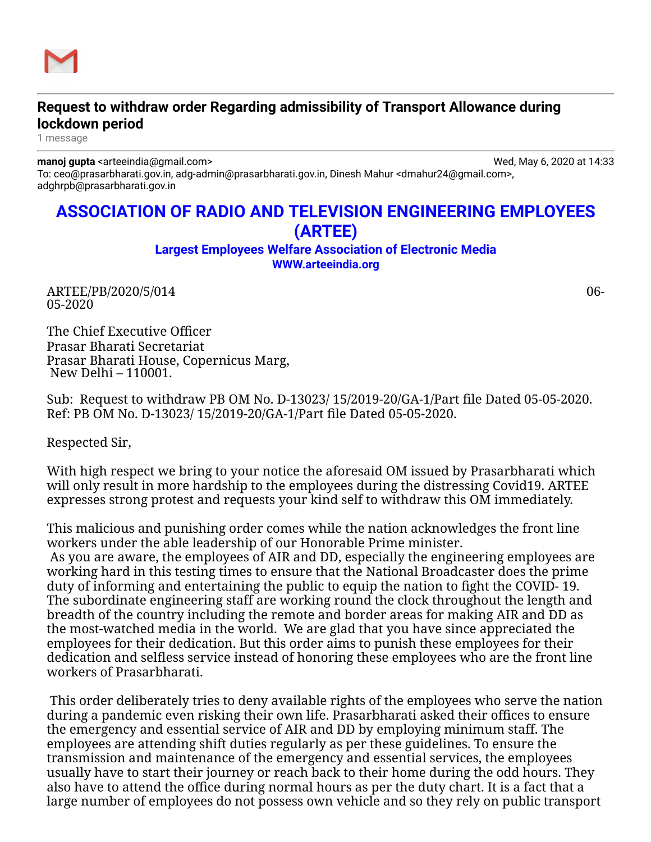

## **Request to withdraw order Regarding admissibility of Transport Allowance during lockdown period**

1 message

**manoj gupta** <arteeindia@gmail.com> Wed, May 6, 2020 at 14:33

To: ceo@prasarbharati.gov.in, adg-admin@prasarbharati.gov.in, Dinesh Mahur <dmahur24@gmail.com>, adghrpb@prasarbharati.gov.in

## **ASSOCIATION OF RADIO AND TELEVISION ENGINEERING EMPLOYEES (ARTEE)**

**Largest Employees Welfare Association of Electronic Media [WWW.arteeindia.org](http://www.arteeindia.org/)**

ARTEE/PB/2020/5/014 06- 05-2020

The Chief Executive Officer Prasar Bharati Secretariat Prasar Bharati House, Copernicus Marg, New Delhi – 110001.

Sub: Request to withdraw PB OM No. D-13023/ 15/2019-20/GA-1/Part file Dated 05-05-2020. Ref: PB OM No. D-13023/ 15/2019-20/GA-1/Part file Dated 05-05-2020.

Respected Sir,

With high respect we bring to your notice the aforesaid OM issued by Prasarbharati which will only result in more hardship to the employees during the distressing Covid19. ARTEE expresses strong protest and requests your kind self to withdraw this OM immediately.

This malicious and punishing order comes while the nation acknowledges the front line workers under the able leadership of our Honorable Prime minister.

 As you are aware, the employees of AIR and DD, especially the engineering employees are working hard in this testing times to ensure that the National Broadcaster does the prime duty of informing and entertaining the public to equip the nation to fight the COVID- 19. The subordinate engineering staff are working round the clock throughout the length and breadth of the country including the remote and border areas for making AIR and DD as the most-watched media in the world. We are glad that you have since appreciated the employees for their dedication. But this order aims to punish these employees for their dedication and selfless service instead of honoring these employees who are the front line workers of Prasarbharati.

 This order deliberately tries to deny available rights of the employees who serve the nation during a pandemic even risking their own life. Prasarbharati asked their offices to ensure the emergency and essential service of AIR and DD by employing minimum staff. The employees are attending shift duties regularly as per these guidelines. To ensure the transmission and maintenance of the emergency and essential services, the employees usually have to start their journey or reach back to their home during the odd hours. They also have to attend the office during normal hours as per the duty chart. It is a fact that a large number of employees do not possess own vehicle and so they rely on public transport